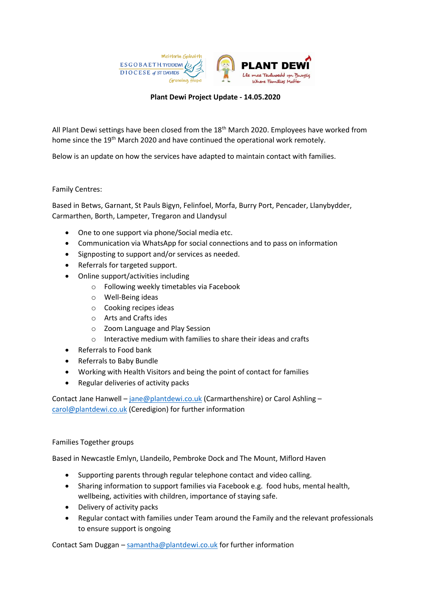

### **Plant Dewi Project Update - 14.05.2020**

All Plant Dewi settings have been closed from the  $18<sup>th</sup>$  March 2020. Employees have worked from home since the 19<sup>th</sup> March 2020 and have continued the operational work remotely.

Below is an update on how the services have adapted to maintain contact with families.

Family Centres:

Based in Betws, Garnant, St Pauls Bigyn, Felinfoel, Morfa, Burry Port, Pencader, Llanybydder, Carmarthen, Borth, Lampeter, Tregaron and Llandysul

- One to one support via phone/Social media etc.
- Communication via WhatsApp for social connections and to pass on information
- Signposting to support and/or services as needed.
- Referrals for targeted support.
- Online support/activities including
	- o Following weekly timetables via Facebook
	- o Well-Being ideas
	- o Cooking recipes ideas
	- o Arts and Crafts ides
	- o Zoom Language and Play Session
	- $\circ$  Interactive medium with families to share their ideas and crafts
- Referrals to Food bank
- Referrals to Baby Bundle
- Working with Health Visitors and being the point of contact for families
- Regular deliveries of activity packs

Contact Jane Hanwell – [jane@plantdewi.co.uk](mailto:jane@plantdewi.co.uk) (Carmarthenshire) or Carol Ashling – [carol@plantdewi.co.uk](mailto:carol@plantdewi.co.uk) (Ceredigion) for further information

# Families Together groups

Based in Newcastle Emlyn, Llandeilo, Pembroke Dock and The Mount, Miflord Haven

- Supporting parents through regular telephone contact and video calling.
- Sharing information to support families via Facebook e.g. food hubs, mental health, wellbeing, activities with children, importance of staying safe.
- Delivery of activity packs
- Regular contact with families under Team around the Family and the relevant professionals to ensure support is ongoing

Contact Sam Duggan – [samantha@plantdewi.co.uk](mailto:samantha@plantdewi.co.uk) for further information